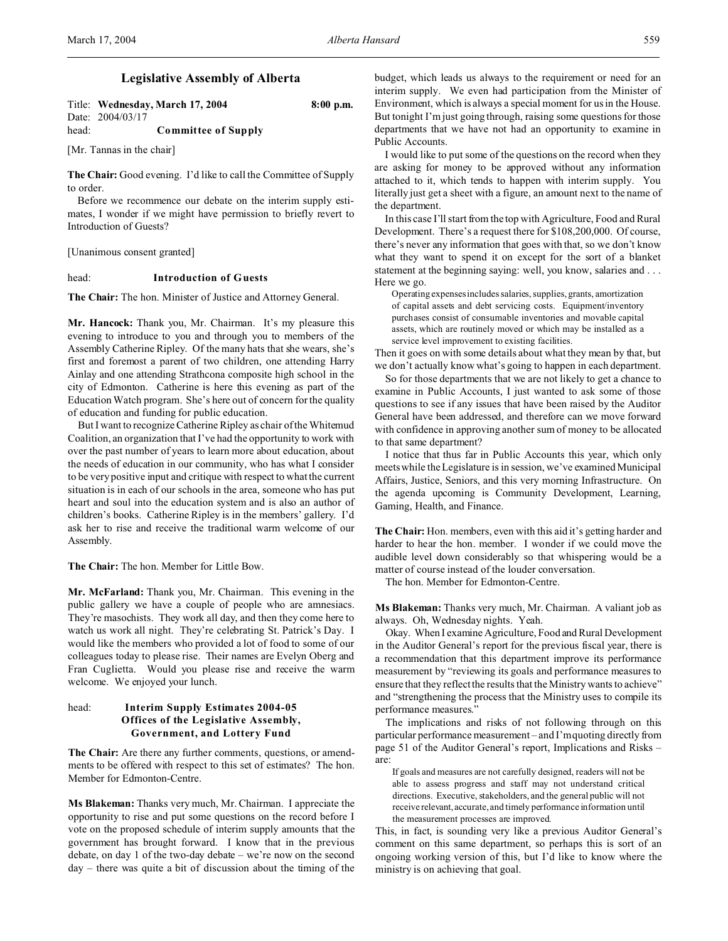# **Legislative Assembly of Alberta**

Title: **Wednesday, March 17, 2004 8:00 p.m.** Date: 2004/03/17 head: **Committee of Supply**

[Mr. Tannas in the chair]

**The Chair:** Good evening. I'd like to call the Committee of Supply to order.

Before we recommence our debate on the interim supply estimates, I wonder if we might have permission to briefly revert to Introduction of Guests?

[Unanimous consent granted]

#### head: **Introduction of Guests**

**The Chair:** The hon. Minister of Justice and Attorney General.

**Mr. Hancock:** Thank you, Mr. Chairman. It's my pleasure this evening to introduce to you and through you to members of the Assembly Catherine Ripley. Of the many hats that she wears, she's first and foremost a parent of two children, one attending Harry Ainlay and one attending Strathcona composite high school in the city of Edmonton. Catherine is here this evening as part of the Education Watch program. She's here out of concern for the quality of education and funding for public education.

But I want to recognize Catherine Ripley as chair of the Whitemud Coalition, an organization that I've had the opportunity to work with over the past number of years to learn more about education, about the needs of education in our community, who has what I consider to be very positive input and critique with respect to what the current situation is in each of our schools in the area, someone who has put heart and soul into the education system and is also an author of children's books. Catherine Ripley is in the members' gallery. I'd ask her to rise and receive the traditional warm welcome of our Assembly.

**The Chair:** The hon. Member for Little Bow.

**Mr. McFarland:** Thank you, Mr. Chairman. This evening in the public gallery we have a couple of people who are amnesiacs. They're masochists. They work all day, and then they come here to watch us work all night. They're celebrating St. Patrick's Day. I would like the members who provided a lot of food to some of our colleagues today to please rise. Their names are Evelyn Oberg and Fran Cuglietta. Would you please rise and receive the warm welcome. We enjoyed your lunch.

# head: **Interim Supply Estimates 2004-05 Offices of the Legislative Assembly, Government, and Lottery Fund**

**The Chair:** Are there any further comments, questions, or amendments to be offered with respect to this set of estimates? The hon. Member for Edmonton-Centre.

**Ms Blakeman:** Thanks very much, Mr. Chairman. I appreciate the opportunity to rise and put some questions on the record before I vote on the proposed schedule of interim supply amounts that the government has brought forward. I know that in the previous debate, on day 1 of the two-day debate – we're now on the second day – there was quite a bit of discussion about the timing of the

budget, which leads us always to the requirement or need for an interim supply. We even had participation from the Minister of Environment, which is always a special moment for us in the House. But tonight I'm just going through, raising some questions for those departments that we have not had an opportunity to examine in Public Accounts.

I would like to put some of the questions on the record when they are asking for money to be approved without any information attached to it, which tends to happen with interim supply. You literally just get a sheet with a figure, an amount next to the name of the department.

In this case I'll start from the top with Agriculture, Food and Rural Development. There's a request there for \$108,200,000. Of course, there's never any information that goes with that, so we don't know what they want to spend it on except for the sort of a blanket statement at the beginning saying: well, you know, salaries and ... Here we go.

Operating expenses includes salaries, supplies, grants, amortization of capital assets and debt servicing costs. Equipment/inventory purchases consist of consumable inventories and movable capital assets, which are routinely moved or which may be installed as a service level improvement to existing facilities.

Then it goes on with some details about what they mean by that, but we don't actually know what's going to happen in each department.

So for those departments that we are not likely to get a chance to examine in Public Accounts, I just wanted to ask some of those questions to see if any issues that have been raised by the Auditor General have been addressed, and therefore can we move forward with confidence in approving another sum of money to be allocated to that same department?

I notice that thus far in Public Accounts this year, which only meets while the Legislature is in session, we've examined Municipal Affairs, Justice, Seniors, and this very morning Infrastructure. On the agenda upcoming is Community Development, Learning, Gaming, Health, and Finance.

**The Chair:** Hon. members, even with this aid it's getting harder and harder to hear the hon. member. I wonder if we could move the audible level down considerably so that whispering would be a matter of course instead of the louder conversation.

The hon. Member for Edmonton-Centre.

**Ms Blakeman:** Thanks very much, Mr. Chairman. A valiant job as always. Oh, Wednesday nights. Yeah.

Okay. When I examine Agriculture, Food and Rural Development in the Auditor General's report for the previous fiscal year, there is a recommendation that this department improve its performance measurement by "reviewing its goals and performance measures to ensure that they reflect the results that the Ministry wants to achieve" and "strengthening the process that the Ministry uses to compile its performance measures."

The implications and risks of not following through on this particular performance measurement – and I'm quoting directly from page 51 of the Auditor General's report, Implications and Risks – are:

If goals and measures are not carefully designed, readers will not be able to assess progress and staff may not understand critical directions. Executive, stakeholders, and the general public will not receive relevant, accurate, and timely performance information until the measurement processes are improved.

This, in fact, is sounding very like a previous Auditor General's comment on this same department, so perhaps this is sort of an ongoing working version of this, but I'd like to know where the ministry is on achieving that goal.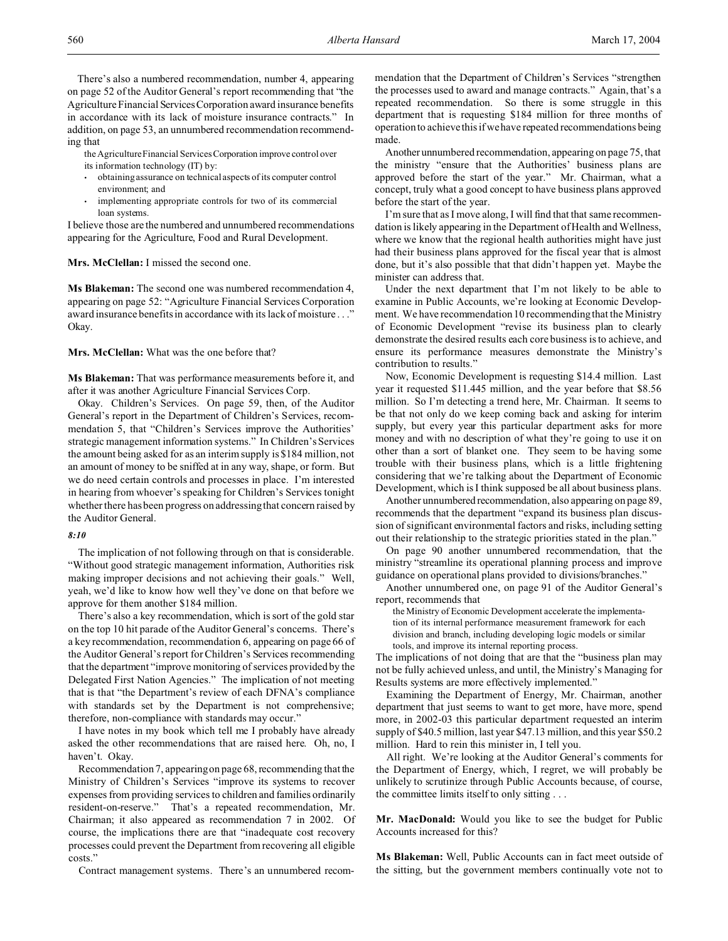There's also a numbered recommendation, number 4, appearing on page 52 of the Auditor General's report recommending that "the Agriculture Financial ServicesCorporation award insurance benefits in accordance with its lack of moisture insurance contracts." In addition, on page 53, an unnumbered recommendation recommending that

the Agriculture Financial Services Corporation improve control over its information technology (IT) by:

- obtaining assurance on technical aspects of its computer control environment; and
- implementing appropriate controls for two of its commercial loan systems.

I believe those are the numbered and unnumbered recommendations appearing for the Agriculture, Food and Rural Development.

## **Mrs. McClellan:** I missed the second one.

**Ms Blakeman:** The second one was numbered recommendation 4, appearing on page 52: "Agriculture Financial Services Corporation award insurance benefits in accordance with its lack of moisture . . ." Okay.

## **Mrs. McClellan:** What was the one before that?

**Ms Blakeman:** That was performance measurements before it, and after it was another Agriculture Financial Services Corp.

Okay. Children's Services. On page 59, then, of the Auditor General's report in the Department of Children's Services, recommendation 5, that "Children's Services improve the Authorities' strategic management information systems." In Children's Services the amount being asked for as an interim supply is \$184 million, not an amount of money to be sniffed at in any way, shape, or form. But we do need certain controls and processes in place. I'm interested in hearing from whoever's speaking for Children's Services tonight whether there has been progress on addressing that concern raised by the Auditor General.

#### *8:10*

The implication of not following through on that is considerable. "Without good strategic management information, Authorities risk making improper decisions and not achieving their goals." Well, yeah, we'd like to know how well they've done on that before we approve for them another \$184 million.

There's also a key recommendation, which is sort of the gold star on the top 10 hit parade of the Auditor General's concerns. There's a key recommendation, recommendation 6, appearing on page 66 of the Auditor General's report for Children's Services recommending that the department "improve monitoring of services provided by the Delegated First Nation Agencies." The implication of not meeting that is that "the Department's review of each DFNA's compliance with standards set by the Department is not comprehensive; therefore, non-compliance with standards may occur."

I have notes in my book which tell me I probably have already asked the other recommendations that are raised here. Oh, no, I haven't. Okay.

Recommendation 7, appearing on page 68, recommending that the Ministry of Children's Services "improve its systems to recover expenses from providing services to children and families ordinarily resident-on-reserve." That's a repeated recommendation, Mr. Chairman; it also appeared as recommendation 7 in 2002. Of course, the implications there are that "inadequate cost recovery processes could prevent the Department from recovering all eligible costs."

Contract management systems. There's an unnumbered recom-

mendation that the Department of Children's Services "strengthen the processes used to award and manage contracts." Again, that's a repeated recommendation. So there is some struggle in this department that is requesting \$184 million for three months of operation to achieve this if we have repeated recommendations being made.

Another unnumbered recommendation, appearing on page 75, that the ministry "ensure that the Authorities' business plans are approved before the start of the year." Mr. Chairman, what a concept, truly what a good concept to have business plans approved before the start of the year.

I'm sure that as I move along, I will find that that same recommendation is likely appearing in the Department of Health and Wellness, where we know that the regional health authorities might have just had their business plans approved for the fiscal year that is almost done, but it's also possible that that didn't happen yet. Maybe the minister can address that.

Under the next department that I'm not likely to be able to examine in Public Accounts, we're looking at Economic Development. We have recommendation 10 recommending that the Ministry of Economic Development "revise its business plan to clearly demonstrate the desired results each core business is to achieve, and ensure its performance measures demonstrate the Ministry's contribution to results."

Now, Economic Development is requesting \$14.4 million. Last year it requested \$11.445 million, and the year before that \$8.56 million. So I'm detecting a trend here, Mr. Chairman. It seems to be that not only do we keep coming back and asking for interim supply, but every year this particular department asks for more money and with no description of what they're going to use it on other than a sort of blanket one. They seem to be having some trouble with their business plans, which is a little frightening considering that we're talking about the Department of Economic Development, which is I think supposed be all about business plans.

Another unnumbered recommendation, also appearing on page 89, recommends that the department "expand its business plan discussion of significant environmental factors and risks, including setting out their relationship to the strategic priorities stated in the plan."

On page 90 another unnumbered recommendation, that the ministry "streamline its operational planning process and improve guidance on operational plans provided to divisions/branches."

Another unnumbered one, on page 91 of the Auditor General's report, recommends that

the Ministry of Economic Development accelerate the implementation of its internal performance measurement framework for each division and branch, including developing logic models or similar tools, and improve its internal reporting process.

The implications of not doing that are that the "business plan may not be fully achieved unless, and until, the Ministry's Managing for Results systems are more effectively implemented."

Examining the Department of Energy, Mr. Chairman, another department that just seems to want to get more, have more, spend more, in 2002-03 this particular department requested an interim supply of \$40.5 million, last year \$47.13 million, and this year \$50.2 million. Hard to rein this minister in, I tell you.

All right. We're looking at the Auditor General's comments for the Department of Energy, which, I regret, we will probably be unlikely to scrutinize through Public Accounts because, of course, the committee limits itself to only sitting . . .

**Mr. MacDonald:** Would you like to see the budget for Public Accounts increased for this?

**Ms Blakeman:** Well, Public Accounts can in fact meet outside of the sitting, but the government members continually vote not to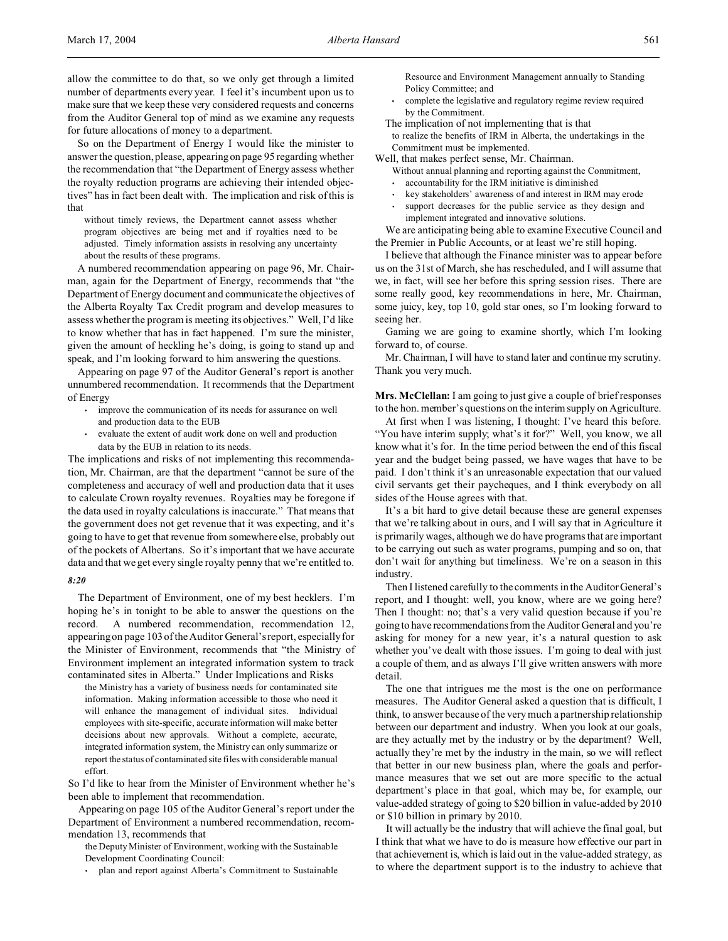So on the Department of Energy I would like the minister to answer the question, please, appearing on page 95 regarding whether the recommendation that "the Department of Energy assess whether the royalty reduction programs are achieving their intended objectives" has in fact been dealt with. The implication and risk of this is that

without timely reviews, the Department cannot assess whether program objectives are being met and if royalties need to be adjusted. Timely information assists in resolving any uncertainty about the results of these programs.

A numbered recommendation appearing on page 96, Mr. Chairman, again for the Department of Energy, recommends that "the Department of Energy document and communicate the objectives of the Alberta Royalty Tax Credit program and develop measures to assess whether the program is meeting its objectives." Well, I'd like to know whether that has in fact happened. I'm sure the minister, given the amount of heckling he's doing, is going to stand up and speak, and I'm looking forward to him answering the questions.

Appearing on page 97 of the Auditor General's report is another unnumbered recommendation. It recommends that the Department of Energy

- improve the communication of its needs for assurance on well and production data to the EUB
- evaluate the extent of audit work done on well and production data by the EUB in relation to its needs.

The implications and risks of not implementing this recommendation, Mr. Chairman, are that the department "cannot be sure of the completeness and accuracy of well and production data that it uses to calculate Crown royalty revenues. Royalties may be foregone if the data used in royalty calculations is inaccurate." That means that the government does not get revenue that it was expecting, and it's going to have to get that revenue from somewhere else, probably out of the pockets of Albertans. So it's important that we have accurate data and that we get every single royalty penny that we're entitled to.

## *8:20*

The Department of Environment, one of my best hecklers. I'm hoping he's in tonight to be able to answer the questions on the record. A numbered recommendation, recommendation 12, appearing on page 103 of the Auditor General's report, especially for the Minister of Environment, recommends that "the Ministry of Environment implement an integrated information system to track contaminated sites in Alberta." Under Implications and Risks

the Ministry has a variety of business needs for contaminated site information. Making information accessible to those who need it will enhance the management of individual sites. Individual employees with site-specific, accurate information will make better decisions about new approvals. Without a complete, accurate, integrated information system, the Ministry can only summarize or report the status of contaminated site files with considerable manual effort.

So I'd like to hear from the Minister of Environment whether he's been able to implement that recommendation.

Appearing on page 105 of the Auditor General's report under the Department of Environment a numbered recommendation, recommendation 13, recommends that

the Deputy Minister of Environment, working with the Sustainable Development Coordinating Council:

• plan and report against Alberta's Commitment to Sustainable

Resource and Environment Management annually to Standing Policy Committee; and

- complete the legislative and regulatory regime review required by the Commitment.
- The implication of not implementing that is that

to realize the benefits of IRM in Alberta, the undertakings in the Commitment must be implemented.

Well, that makes perfect sense, Mr. Chairman.

- Without annual planning and reporting against the Commitment,
	- accountability for the IRM initiative is diminished
- key stakeholders' awareness of and interest in IRM may erode
- support decreases for the public service as they design and implement integrated and innovative solutions.

We are anticipating being able to examine Executive Council and the Premier in Public Accounts, or at least we're still hoping.

I believe that although the Finance minister was to appear before us on the 31st of March, she has rescheduled, and I will assume that we, in fact, will see her before this spring session rises. There are some really good, key recommendations in here, Mr. Chairman, some juicy, key, top 10, gold star ones, so I'm looking forward to seeing her.

Gaming we are going to examine shortly, which I'm looking forward to, of course.

Mr. Chairman, I will have to stand later and continue my scrutiny. Thank you very much.

**Mrs. McClellan:** I am going to just give a couple of brief responses to the hon. member's questions on the interim supply on Agriculture.

At first when I was listening, I thought: I've heard this before. "You have interim supply; what's it for?" Well, you know, we all know what it's for. In the time period between the end of this fiscal year and the budget being passed, we have wages that have to be paid. I don't think it's an unreasonable expectation that our valued civil servants get their paycheques, and I think everybody on all sides of the House agrees with that.

It's a bit hard to give detail because these are general expenses that we're talking about in ours, and I will say that in Agriculture it is primarily wages, although we do have programs that are important to be carrying out such as water programs, pumping and so on, that don't wait for anything but timeliness. We're on a season in this industry.

Then I listened carefully to the comments in the Auditor General's report, and I thought: well, you know, where are we going here? Then I thought: no; that's a very valid question because if you're going to have recommendations from the Auditor General and you're asking for money for a new year, it's a natural question to ask whether you've dealt with those issues. I'm going to deal with just a couple of them, and as always I'll give written answers with more detail.

The one that intrigues me the most is the one on performance measures. The Auditor General asked a question that is difficult, I think, to answer because of the very much a partnership relationship between our department and industry. When you look at our goals, are they actually met by the industry or by the department? Well, actually they're met by the industry in the main, so we will reflect that better in our new business plan, where the goals and performance measures that we set out are more specific to the actual department's place in that goal, which may be, for example, our value-added strategy of going to \$20 billion in value-added by 2010 or \$10 billion in primary by 2010.

It will actually be the industry that will achieve the final goal, but I think that what we have to do is measure how effective our part in that achievement is, which is laid out in the value-added strategy, as to where the department support is to the industry to achieve that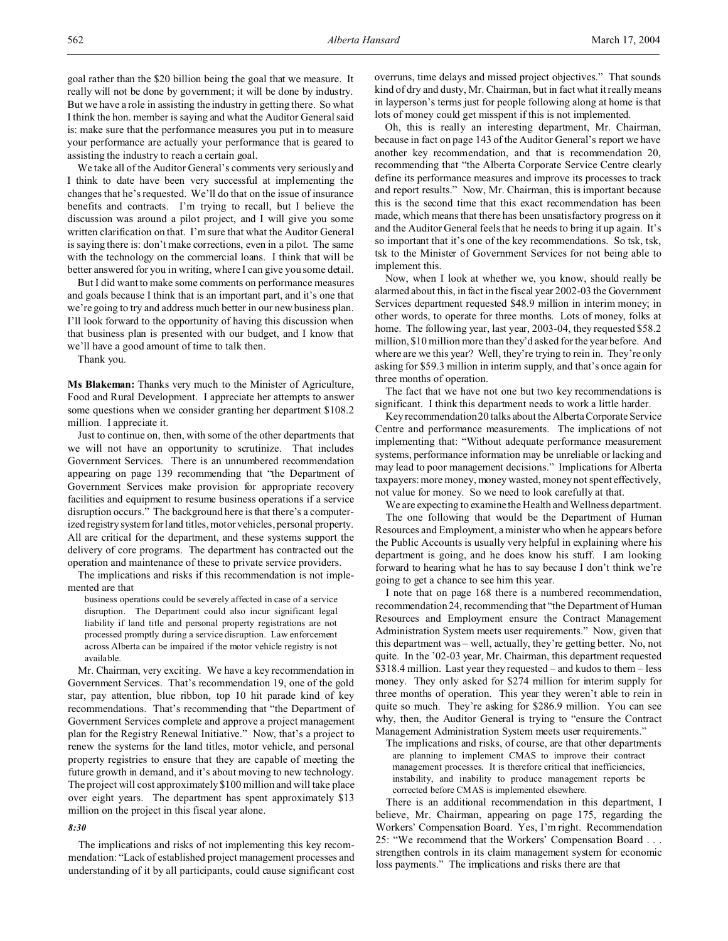We take all of the Auditor General's comments very seriously and I think to date have been very successful at implementing the changes that he's requested. We'll do that on the issue of insurance benefits and contracts. I'm trying to recall, but I believe the discussion was around a pilot project, and I will give you some written clarification on that. I'm sure that what the Auditor General is saying there is: don't make corrections, even in a pilot. The same with the technology on the commercial loans. I think that will be better answered for you in writing, where I can give you some detail.

But I did want to make some comments on performance measures and goals because I think that is an important part, and it's one that we're going to try and address much better in our new business plan. I'll look forward to the opportunity of having this discussion when that business plan is presented with our budget, and I know that we'll have a good amount of time to talk then.

Thank you.

**Ms Blakeman:** Thanks very much to the Minister of Agriculture, Food and Rural Development. I appreciate her attempts to answer some questions when we consider granting her department \$108.2 million. I appreciate it.

Just to continue on, then, with some of the other departments that we will not have an opportunity to scrutinize. That includes Government Services. There is an unnumbered recommendation appearing on page 139 recommending that "the Department of Government Services make provision for appropriate recovery facilities and equipment to resume business operations if a service disruption occurs." The background here is that there's a computerized registry system for land titles, motor vehicles, personal property. All are critical for the department, and these systems support the delivery of core programs. The department has contracted out the operation and maintenance of these to private service providers.

The implications and risks if this recommendation is not implemented are that

business operations could be severely affected in case of a service disruption. The Department could also incur significant legal liability if land title and personal property registrations are not processed promptly during a service disruption. Law enforcement across Alberta can be impaired if the motor vehicle registry is not available.

Mr. Chairman, very exciting. We have a key recommendation in Government Services. That's recommendation 19, one of the gold star, pay attention, blue ribbon, top 10 hit parade kind of key recommendations. That's recommending that "the Department of Government Services complete and approve a project management plan for the Registry Renewal Initiative." Now, that's a project to renew the systems for the land titles, motor vehicle, and personal property registries to ensure that they are capable of meeting the future growth in demand, and it's about moving to new technology. The project will cost approximately \$100 million and will take place over eight years. The department has spent approximately \$13 million on the project in this fiscal year alone.

## *8:30*

The implications and risks of not implementing this key recommendation: "Lack of established project management processes and understanding of it by all participants, could cause significant cost overruns, time delays and missed project objectives." That sounds kind of dry and dusty, Mr. Chairman, but in fact what it really means in layperson's terms just for people following along at home is that lots of money could get misspent if this is not implemented.

Oh, this is really an interesting department, Mr. Chairman, because in fact on page 143 of the Auditor General's report we have another key recommendation, and that is recommendation 20, recommending that "the Alberta Corporate Service Centre clearly define its performance measures and improve its processes to track and report results." Now, Mr. Chairman, this is important because this is the second time that this exact recommendation has been made, which means that there has been unsatisfactory progress on it and the Auditor General feels that he needs to bring it up again. It's so important that it's one of the key recommendations. So tsk, tsk, tsk to the Minister of Government Services for not being able to implement this.

Now, when I look at whether we, you know, should really be alarmed about this, in fact in the fiscal year 2002-03 the Government Services department requested \$48.9 million in interim money; in other words, to operate for three months. Lots of money, folks at home. The following year, last year, 2003-04, they requested \$58.2 million, \$10 million more than they'd asked for the year before. And where are we this year? Well, they're trying to rein in. They're only asking for \$59.3 million in interim supply, and that's once again for three months of operation.

The fact that we have not one but two key recommendations is significant. I think this department needs to work a little harder.

Key recommendation 20 talks about the Alberta Corporate Service Centre and performance measurements. The implications of not implementing that: "Without adequate performance measurement systems, performance information may be unreliable or lacking and may lead to poor management decisions." Implications for Alberta taxpayers: more money, money wasted, money not spent effectively, not value for money. So we need to look carefully at that.

We are expecting to examine the Health and Wellness department. The one following that would be the Department of Human Resources and Employment, a minister who when he appears before the Public Accounts is usually very helpful in explaining where his department is going, and he does know his stuff. I am looking forward to hearing what he has to say because I don't think we're going to get a chance to see him this year.

I note that on page 168 there is a numbered recommendation, recommendation 24, recommending that "the Department of Human Resources and Employment ensure the Contract Management Administration System meets user requirements." Now, given that this department was – well, actually, they're getting better. No, not quite. In the '02-03 year, Mr. Chairman, this department requested \$318.4 million. Last year they requested – and kudos to them – less money. They only asked for \$274 million for interim supply for three months of operation. This year they weren't able to rein in quite so much. They're asking for \$286.9 million. You can see why, then, the Auditor General is trying to "ensure the Contract Management Administration System meets user requirements."

The implications and risks, of course, are that other departments are planning to implement CMAS to improve their contract management processes. It is therefore critical that inefficiencies, instability, and inability to produce management reports be corrected before CMAS is implemented elsewhere.

There is an additional recommendation in this department, I believe, Mr. Chairman, appearing on page 175, regarding the Workers' Compensation Board. Yes, I'm right. Recommendation 25: "We recommend that the Workers' Compensation Board . . . strengthen controls in its claim management system for economic loss payments." The implications and risks there are that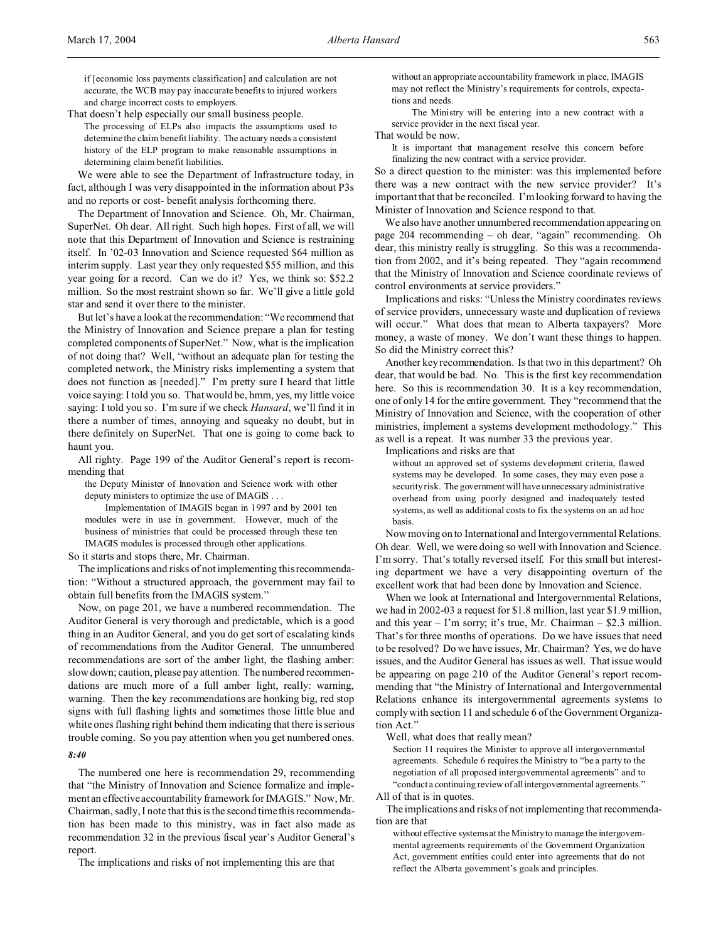if [economic loss payments classification] and calculation are not accurate, the WCB may pay inaccurate benefits to injured workers and charge incorrect costs to employers.

That doesn't help especially our small business people.

The processing of ELPs also impacts the assumptions used to determine the claim benefit liability. The actuary needs a consistent history of the ELP program to make reasonable assumptions in determining claim benefit liabilities.

We were able to see the Department of Infrastructure today, in fact, although I was very disappointed in the information about P3s and no reports or cost- benefit analysis forthcoming there.

The Department of Innovation and Science. Oh, Mr. Chairman, SuperNet. Oh dear. All right. Such high hopes. First of all, we will note that this Department of Innovation and Science is restraining itself. In '02-03 Innovation and Science requested \$64 million as interim supply. Last year they only requested \$55 million, and this year going for a record. Can we do it? Yes, we think so: \$52.2 million. So the most restraint shown so far. We'll give a little gold star and send it over there to the minister.

But let's have a look at the recommendation: "We recommend that the Ministry of Innovation and Science prepare a plan for testing completed components of SuperNet." Now, what is the implication of not doing that? Well, "without an adequate plan for testing the completed network, the Ministry risks implementing a system that does not function as [needed]." I'm pretty sure I heard that little voice saying: I told you so. That would be, hmm, yes, my little voice saying: I told you so. I'm sure if we check *Hansard*, we'll find it in there a number of times, annoying and squeaky no doubt, but in there definitely on SuperNet. That one is going to come back to haunt you.

All righty. Page 199 of the Auditor General's report is recommending that

the Deputy Minister of Innovation and Science work with other deputy ministers to optimize the use of IMAGIS . . .

Implementation of IMAGIS began in 1997 and by 2001 ten modules were in use in government. However, much of the business of ministries that could be processed through these ten IMAGIS modules is processed through other applications.

So it starts and stops there, Mr. Chairman.

The implications and risks of not implementing this recommendation: "Without a structured approach, the government may fail to obtain full benefits from the IMAGIS system."

Now, on page 201, we have a numbered recommendation. The Auditor General is very thorough and predictable, which is a good thing in an Auditor General, and you do get sort of escalating kinds of recommendations from the Auditor General. The unnumbered recommendations are sort of the amber light, the flashing amber: slow down; caution, please pay attention. The numbered recommendations are much more of a full amber light, really: warning, warning. Then the key recommendations are honking big, red stop signs with full flashing lights and sometimes those little blue and white ones flashing right behind them indicating that there is serious trouble coming. So you pay attention when you get numbered ones.

### *8:40*

The numbered one here is recommendation 29, recommending that "the Ministry of Innovation and Science formalize and implement an effective accountability framework for IMAGIS." Now, Mr. Chairman, sadly, I note that this is the second time this recommendation has been made to this ministry, was in fact also made as recommendation 32 in the previous fiscal year's Auditor General's report.

The implications and risks of not implementing this are that

without an appropriate accountability framework in place, IMAGIS may not reflect the Ministry's requirements for controls, expectations and needs.

The Ministry will be entering into a new contract with a service provider in the next fiscal year.

That would be now.

It is important that management resolve this concern before finalizing the new contract with a service provider.

So a direct question to the minister: was this implemented before there was a new contract with the new service provider? It's important that that be reconciled. I'm looking forward to having the Minister of Innovation and Science respond to that.

We also have another unnumbered recommendation appearing on page 204 recommending – oh dear, "again" recommending. Oh dear, this ministry really is struggling. So this was a recommendation from 2002, and it's being repeated. They "again recommend that the Ministry of Innovation and Science coordinate reviews of control environments at service providers."

Implications and risks: "Unless the Ministry coordinates reviews of service providers, unnecessary waste and duplication of reviews will occur." What does that mean to Alberta taxpayers? More money, a waste of money. We don't want these things to happen. So did the Ministry correct this?

Another key recommendation. Is that two in this department? Oh dear, that would be bad. No. This is the first key recommendation here. So this is recommendation 30. It is a key recommendation, one of only 14 for the entire government. They "recommend that the Ministry of Innovation and Science, with the cooperation of other ministries, implement a systems development methodology." This as well is a repeat. It was number 33 the previous year.

Implications and risks are that

without an approved set of systems development criteria, flawed systems may be developed. In some cases, they may even pose a security risk. The government will have unnecessary administrative overhead from using poorly designed and inadequately tested systems, as well as additional costs to fix the systems on an ad hoc basis.

Now moving on to International and Intergovernmental Relations. Oh dear. Well, we were doing so well with Innovation and Science. I'm sorry. That's totally reversed itself. For this small but interesting department we have a very disappointing overturn of the excellent work that had been done by Innovation and Science.

When we look at International and Intergovernmental Relations, we had in 2002-03 a request for \$1.8 million, last year \$1.9 million, and this year  $-$  I'm sorry; it's true, Mr. Chairman  $-$  \$2.3 million. That's for three months of operations. Do we have issues that need to be resolved? Do we have issues, Mr. Chairman? Yes, we do have issues, and the Auditor General has issues as well. That issue would be appearing on page 210 of the Auditor General's report recommending that "the Ministry of International and Intergovernmental Relations enhance its intergovernmental agreements systems to comply with section 11 and schedule 6 of the Government Organization Act."

Well, what does that really mean?

Section 11 requires the Minister to approve all intergovernmental agreements. Schedule 6 requires the Ministry to "be a party to the negotiation of all proposed intergovernmental agreements" and to "conduct a continuing review of allintergovernmental agreements."

All of that is in quotes.

The implications and risks of not implementing that recommendation are that

without effective systems at the Ministry to manage the intergovernmental agreements requirements of the Government Organization Act, government entities could enter into agreements that do not reflect the Alberta government's goals and principles.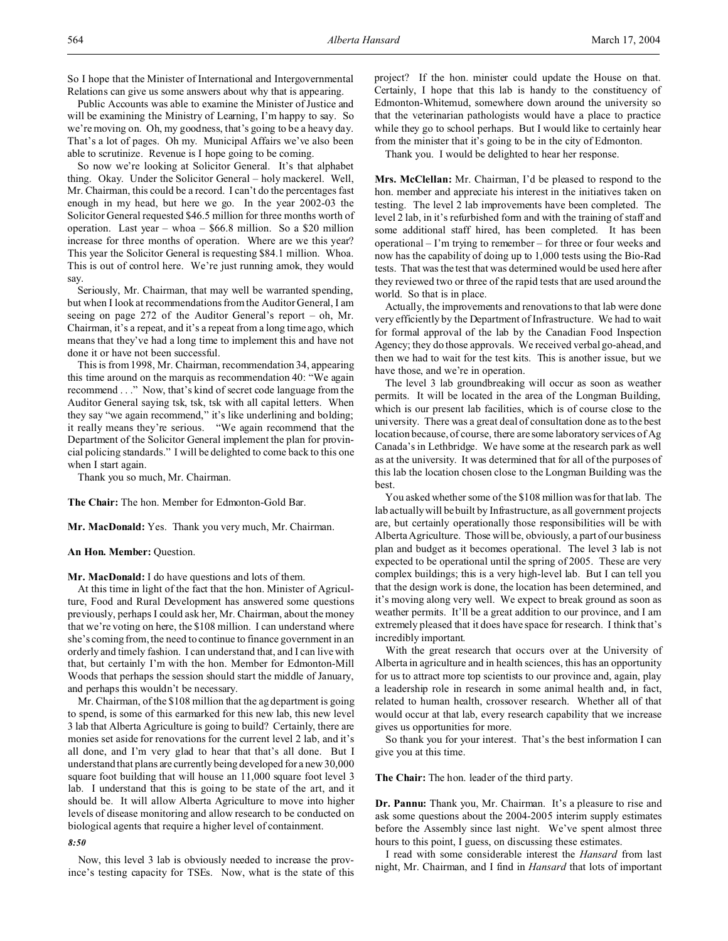So I hope that the Minister of International and Intergovernmental Relations can give us some answers about why that is appearing.

Public Accounts was able to examine the Minister of Justice and will be examining the Ministry of Learning, I'm happy to say. So we're moving on. Oh, my goodness, that's going to be a heavy day. That's a lot of pages. Oh my. Municipal Affairs we've also been able to scrutinize. Revenue is I hope going to be coming.

So now we're looking at Solicitor General. It's that alphabet thing. Okay. Under the Solicitor General – holy mackerel. Well, Mr. Chairman, this could be a record. I can't do the percentages fast enough in my head, but here we go. In the year 2002-03 the Solicitor General requested \$46.5 million for three months worth of operation. Last year – whoa – \$66.8 million. So a \$20 million increase for three months of operation. Where are we this year? This year the Solicitor General is requesting \$84.1 million. Whoa. This is out of control here. We're just running amok, they would say.

Seriously, Mr. Chairman, that may well be warranted spending, but when I look at recommendations from the Auditor General, I am seeing on page 272 of the Auditor General's report – oh, Mr. Chairman, it's a repeat, and it's a repeat from a long time ago, which means that they've had a long time to implement this and have not done it or have not been successful.

This is from 1998, Mr. Chairman, recommendation 34, appearing this time around on the marquis as recommendation 40: "We again recommend . . ." Now, that's kind of secret code language from the Auditor General saying tsk, tsk, tsk with all capital letters. When they say "we again recommend," it's like underlining and bolding; it really means they're serious. "We again recommend that the Department of the Solicitor General implement the plan for provincial policing standards." I will be delighted to come back to this one when I start again.

Thank you so much, Mr. Chairman.

**The Chair:** The hon. Member for Edmonton-Gold Bar.

**Mr. MacDonald:** Yes. Thank you very much, Mr. Chairman.

### **An Hon. Member:** Question.

**Mr. MacDonald:** I do have questions and lots of them.

At this time in light of the fact that the hon. Minister of Agriculture, Food and Rural Development has answered some questions previously, perhaps I could ask her, Mr. Chairman, about the money that we're voting on here, the \$108 million. I can understand where she's coming from, the need to continue to finance government in an orderly and timely fashion. I can understand that, and I can live with that, but certainly I'm with the hon. Member for Edmonton-Mill Woods that perhaps the session should start the middle of January, and perhaps this wouldn't be necessary.

Mr. Chairman, of the \$108 million that the ag department is going to spend, is some of this earmarked for this new lab, this new level 3 lab that Alberta Agriculture is going to build? Certainly, there are monies set aside for renovations for the current level 2 lab, and it's all done, and I'm very glad to hear that that's all done. But I understand that plans are currently being developed for a new 30,000 square foot building that will house an 11,000 square foot level 3 lab. I understand that this is going to be state of the art, and it should be. It will allow Alberta Agriculture to move into higher levels of disease monitoring and allow research to be conducted on biological agents that require a higher level of containment.

### *8:50*

Now, this level 3 lab is obviously needed to increase the province's testing capacity for TSEs. Now, what is the state of this project? If the hon. minister could update the House on that. Certainly, I hope that this lab is handy to the constituency of Edmonton-Whitemud, somewhere down around the university so that the veterinarian pathologists would have a place to practice while they go to school perhaps. But I would like to certainly hear from the minister that it's going to be in the city of Edmonton.

Thank you. I would be delighted to hear her response.

**Mrs. McClellan:** Mr. Chairman, I'd be pleased to respond to the hon. member and appreciate his interest in the initiatives taken on testing. The level 2 lab improvements have been completed. The level 2 lab, in it's refurbished form and with the training of staff and some additional staff hired, has been completed. It has been operational – I'm trying to remember – for three or four weeks and now has the capability of doing up to 1,000 tests using the Bio-Rad tests. That was the test that was determined would be used here after they reviewed two or three of the rapid tests that are used around the world. So that is in place.

Actually, the improvements and renovations to that lab were done very efficiently by the Department of Infrastructure. We had to wait for formal approval of the lab by the Canadian Food Inspection Agency; they do those approvals. We received verbal go-ahead, and then we had to wait for the test kits. This is another issue, but we have those, and we're in operation.

The level 3 lab groundbreaking will occur as soon as weather permits. It will be located in the area of the Longman Building, which is our present lab facilities, which is of course close to the university. There was a great deal of consultation done as to the best location because, of course, there are some laboratory services of Ag Canada's in Lethbridge. We have some at the research park as well as at the university. It was determined that for all of the purposes of this lab the location chosen close to the Longman Building was the best.

You asked whether some of the \$108 million was for that lab. The lab actually will be built by Infrastructure, as all government projects are, but certainly operationally those responsibilities will be with Alberta Agriculture. Those will be, obviously, a part of our business plan and budget as it becomes operational. The level 3 lab is not expected to be operational until the spring of 2005. These are very complex buildings; this is a very high-level lab. But I can tell you that the design work is done, the location has been determined, and it's moving along very well. We expect to break ground as soon as weather permits. It'll be a great addition to our province, and I am extremely pleased that it does have space for research. I think that's incredibly important.

With the great research that occurs over at the University of Alberta in agriculture and in health sciences, this has an opportunity for us to attract more top scientists to our province and, again, play a leadership role in research in some animal health and, in fact, related to human health, crossover research. Whether all of that would occur at that lab, every research capability that we increase gives us opportunities for more.

So thank you for your interest. That's the best information I can give you at this time.

**The Chair:** The hon. leader of the third party.

**Dr. Pannu:** Thank you, Mr. Chairman. It's a pleasure to rise and ask some questions about the 2004-2005 interim supply estimates before the Assembly since last night. We've spent almost three hours to this point, I guess, on discussing these estimates.

I read with some considerable interest the *Hansard* from last night, Mr. Chairman, and I find in *Hansard* that lots of important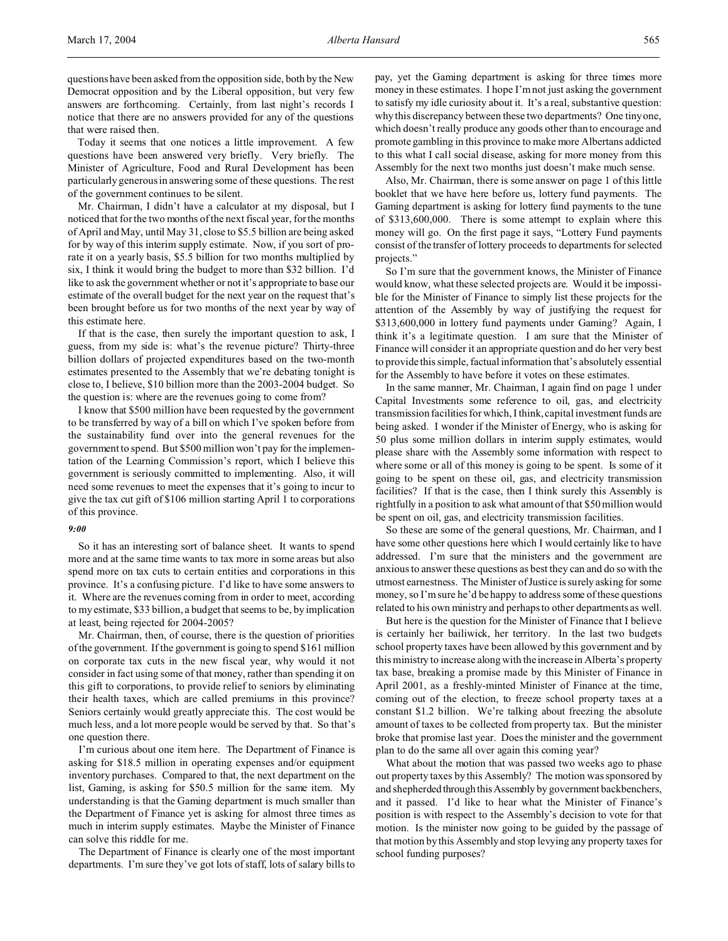Today it seems that one notices a little improvement. A few questions have been answered very briefly. Very briefly. The Minister of Agriculture, Food and Rural Development has been particularly generous in answering some of these questions. The rest of the government continues to be silent.

Mr. Chairman, I didn't have a calculator at my disposal, but I noticed that for the two months of the next fiscal year, for the months of April and May, until May 31, close to \$5.5 billion are being asked for by way of this interim supply estimate. Now, if you sort of prorate it on a yearly basis, \$5.5 billion for two months multiplied by six, I think it would bring the budget to more than \$32 billion. I'd like to ask the government whether or not it's appropriate to base our estimate of the overall budget for the next year on the request that's been brought before us for two months of the next year by way of this estimate here.

If that is the case, then surely the important question to ask, I guess, from my side is: what's the revenue picture? Thirty-three billion dollars of projected expenditures based on the two-month estimates presented to the Assembly that we're debating tonight is close to, I believe, \$10 billion more than the 2003-2004 budget. So the question is: where are the revenues going to come from?

I know that \$500 million have been requested by the government to be transferred by way of a bill on which I've spoken before from the sustainability fund over into the general revenues for the government to spend. But \$500 million won't pay for the implementation of the Learning Commission's report, which I believe this government is seriously committed to implementing. Also, it will need some revenues to meet the expenses that it's going to incur to give the tax cut gift of \$106 million starting April 1 to corporations of this province.

### *9:00*

So it has an interesting sort of balance sheet. It wants to spend more and at the same time wants to tax more in some areas but also spend more on tax cuts to certain entities and corporations in this province. It's a confusing picture. I'd like to have some answers to it. Where are the revenues coming from in order to meet, according to my estimate, \$33 billion, a budget that seems to be, by implication at least, being rejected for 2004-2005?

Mr. Chairman, then, of course, there is the question of priorities of the government. If the government is going to spend \$161 million on corporate tax cuts in the new fiscal year, why would it not consider in fact using some of that money, rather than spending it on this gift to corporations, to provide relief to seniors by eliminating their health taxes, which are called premiums in this province? Seniors certainly would greatly appreciate this. The cost would be much less, and a lot more people would be served by that. So that's one question there.

I'm curious about one item here. The Department of Finance is asking for \$18.5 million in operating expenses and/or equipment inventory purchases. Compared to that, the next department on the list, Gaming, is asking for \$50.5 million for the same item. My understanding is that the Gaming department is much smaller than the Department of Finance yet is asking for almost three times as much in interim supply estimates. Maybe the Minister of Finance can solve this riddle for me.

The Department of Finance is clearly one of the most important departments. I'm sure they've got lots of staff, lots of salary bills to pay, yet the Gaming department is asking for three times more money in these estimates. I hope I'm not just asking the government to satisfy my idle curiosity about it. It's a real, substantive question: why this discrepancy between these two departments? One tiny one, which doesn't really produce any goods other than to encourage and promote gambling in this province to make more Albertans addicted to this what I call social disease, asking for more money from this Assembly for the next two months just doesn't make much sense.

Also, Mr. Chairman, there is some answer on page 1 of this little booklet that we have here before us, lottery fund payments. The Gaming department is asking for lottery fund payments to the tune of \$313,600,000. There is some attempt to explain where this money will go. On the first page it says, "Lottery Fund payments consist of the transfer of lottery proceeds to departments for selected projects."

So I'm sure that the government knows, the Minister of Finance would know, what these selected projects are. Would it be impossible for the Minister of Finance to simply list these projects for the attention of the Assembly by way of justifying the request for \$313,600,000 in lottery fund payments under Gaming? Again, I think it's a legitimate question. I am sure that the Minister of Finance will consider it an appropriate question and do her very best to provide this simple, factual information that's absolutely essential for the Assembly to have before it votes on these estimates.

In the same manner, Mr. Chairman, I again find on page 1 under Capital Investments some reference to oil, gas, and electricity transmission facilities for which, I think, capital investment funds are being asked. I wonder if the Minister of Energy, who is asking for 50 plus some million dollars in interim supply estimates, would please share with the Assembly some information with respect to where some or all of this money is going to be spent. Is some of it going to be spent on these oil, gas, and electricity transmission facilities? If that is the case, then I think surely this Assembly is rightfully in a position to ask what amount of that \$50 million would be spent on oil, gas, and electricity transmission facilities.

So these are some of the general questions, Mr. Chairman, and I have some other questions here which I would certainly like to have addressed. I'm sure that the ministers and the government are anxious to answer these questions as best they can and do so with the utmost earnestness. The Minister of Justice is surely asking for some money, so I'm sure he'd be happy to address some of these questions related to his own ministry and perhaps to other departments as well.

But here is the question for the Minister of Finance that I believe is certainly her bailiwick, her territory. In the last two budgets school property taxes have been allowed by this government and by this ministry to increase along with the increase in Alberta's property tax base, breaking a promise made by this Minister of Finance in April 2001, as a freshly-minted Minister of Finance at the time, coming out of the election, to freeze school property taxes at a constant \$1.2 billion. We're talking about freezing the absolute amount of taxes to be collected from property tax. But the minister broke that promise last year. Does the minister and the government plan to do the same all over again this coming year?

What about the motion that was passed two weeks ago to phase out property taxes by this Assembly? The motion was sponsored by and shepherded through this Assembly by government backbenchers, and it passed. I'd like to hear what the Minister of Finance's position is with respect to the Assembly's decision to vote for that motion. Is the minister now going to be guided by the passage of that motion by this Assembly and stop levying any property taxes for school funding purposes?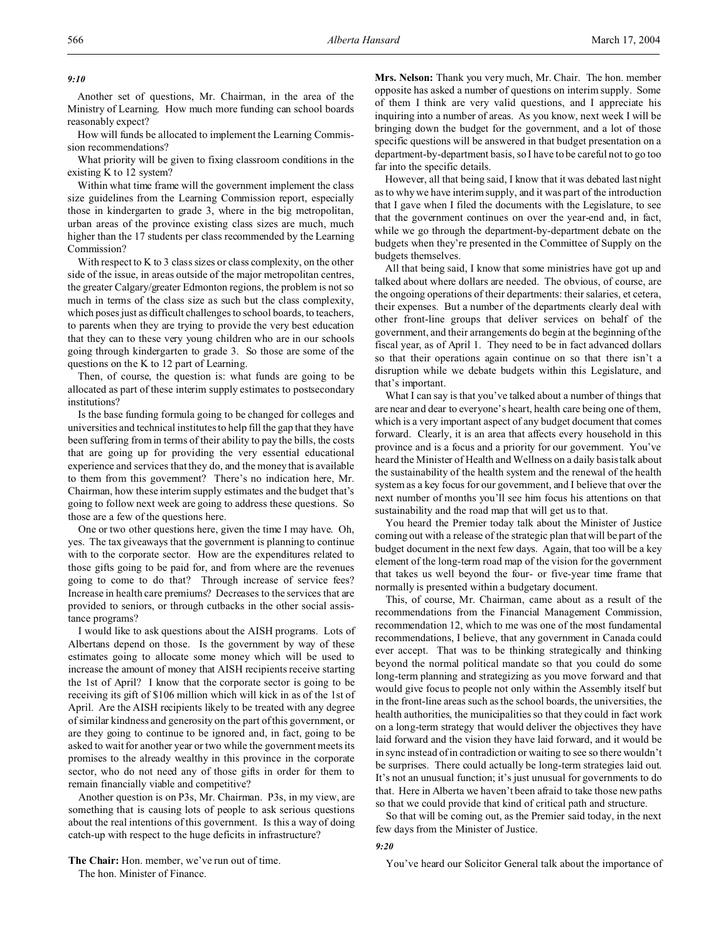# *9:10*

Another set of questions, Mr. Chairman, in the area of the Ministry of Learning. How much more funding can school boards reasonably expect?

How will funds be allocated to implement the Learning Commission recommendations?

What priority will be given to fixing classroom conditions in the existing K to 12 system?

Within what time frame will the government implement the class size guidelines from the Learning Commission report, especially those in kindergarten to grade 3, where in the big metropolitan, urban areas of the province existing class sizes are much, much higher than the 17 students per class recommended by the Learning Commission?

With respect to K to 3 class sizes or class complexity, on the other side of the issue, in areas outside of the major metropolitan centres, the greater Calgary/greater Edmonton regions, the problem is not so much in terms of the class size as such but the class complexity, which poses just as difficult challenges to school boards, to teachers, to parents when they are trying to provide the very best education that they can to these very young children who are in our schools going through kindergarten to grade 3. So those are some of the questions on the K to 12 part of Learning.

Then, of course, the question is: what funds are going to be allocated as part of these interim supply estimates to postsecondary institutions?

Is the base funding formula going to be changed for colleges and universities and technical institutes to help fill the gap that they have been suffering from in terms of their ability to pay the bills, the costs that are going up for providing the very essential educational experience and services that they do, and the money that is available to them from this government? There's no indication here, Mr. Chairman, how these interim supply estimates and the budget that's going to follow next week are going to address these questions. So those are a few of the questions here.

One or two other questions here, given the time I may have. Oh, yes. The tax giveaways that the government is planning to continue with to the corporate sector. How are the expenditures related to those gifts going to be paid for, and from where are the revenues going to come to do that? Through increase of service fees? Increase in health care premiums? Decreases to the services that are provided to seniors, or through cutbacks in the other social assistance programs?

I would like to ask questions about the AISH programs. Lots of Albertans depend on those. Is the government by way of these estimates going to allocate some money which will be used to increase the amount of money that AISH recipients receive starting the 1st of April? I know that the corporate sector is going to be receiving its gift of \$106 million which will kick in as of the 1st of April. Are the AISH recipients likely to be treated with any degree of similar kindness and generosity on the part of this government, or are they going to continue to be ignored and, in fact, going to be asked to wait for another year or two while the government meets its promises to the already wealthy in this province in the corporate sector, who do not need any of those gifts in order for them to remain financially viable and competitive?

Another question is on P3s, Mr. Chairman. P3s, in my view, are something that is causing lots of people to ask serious questions about the real intentions of this government. Is this a way of doing catch-up with respect to the huge deficits in infrastructure?

**The Chair:** Hon. member, we've run out of time. The hon. Minister of Finance.

**Mrs. Nelson:** Thank you very much, Mr. Chair. The hon. member opposite has asked a number of questions on interim supply. Some of them I think are very valid questions, and I appreciate his inquiring into a number of areas. As you know, next week I will be bringing down the budget for the government, and a lot of those specific questions will be answered in that budget presentation on a department-by-department basis, so I have to be careful not to go too far into the specific details.

However, all that being said, I know that it was debated last night as to why we have interim supply, and it was part of the introduction that I gave when I filed the documents with the Legislature, to see that the government continues on over the year-end and, in fact, while we go through the department-by-department debate on the budgets when they're presented in the Committee of Supply on the budgets themselves.

All that being said, I know that some ministries have got up and talked about where dollars are needed. The obvious, of course, are the ongoing operations of their departments: their salaries, et cetera, their expenses. But a number of the departments clearly deal with other front-line groups that deliver services on behalf of the government, and their arrangements do begin at the beginning of the fiscal year, as of April 1. They need to be in fact advanced dollars so that their operations again continue on so that there isn't a disruption while we debate budgets within this Legislature, and that's important.

What I can say is that you've talked about a number of things that are near and dear to everyone's heart, health care being one of them, which is a very important aspect of any budget document that comes forward. Clearly, it is an area that affects every household in this province and is a focus and a priority for our government. You've heard the Minister of Health and Wellness on a daily basis talk about the sustainability of the health system and the renewal of the health system as a key focus for our government, and I believe that over the next number of months you'll see him focus his attentions on that sustainability and the road map that will get us to that.

You heard the Premier today talk about the Minister of Justice coming out with a release of the strategic plan that will be part of the budget document in the next few days. Again, that too will be a key element of the long-term road map of the vision for the government that takes us well beyond the four- or five-year time frame that normally is presented within a budgetary document.

This, of course, Mr. Chairman, came about as a result of the recommendations from the Financial Management Commission, recommendation 12, which to me was one of the most fundamental recommendations, I believe, that any government in Canada could ever accept. That was to be thinking strategically and thinking beyond the normal political mandate so that you could do some long-term planning and strategizing as you move forward and that would give focus to people not only within the Assembly itself but in the front-line areas such as the school boards, the universities, the health authorities, the municipalities so that they could in fact work on a long-term strategy that would deliver the objectives they have laid forward and the vision they have laid forward, and it would be in sync instead of in contradiction or waiting to see so there wouldn't be surprises. There could actually be long-term strategies laid out. It's not an unusual function; it's just unusual for governments to do that. Here in Alberta we haven't been afraid to take those new paths so that we could provide that kind of critical path and structure.

So that will be coming out, as the Premier said today, in the next few days from the Minister of Justice.

#### *9:20*

You've heard our Solicitor General talk about the importance of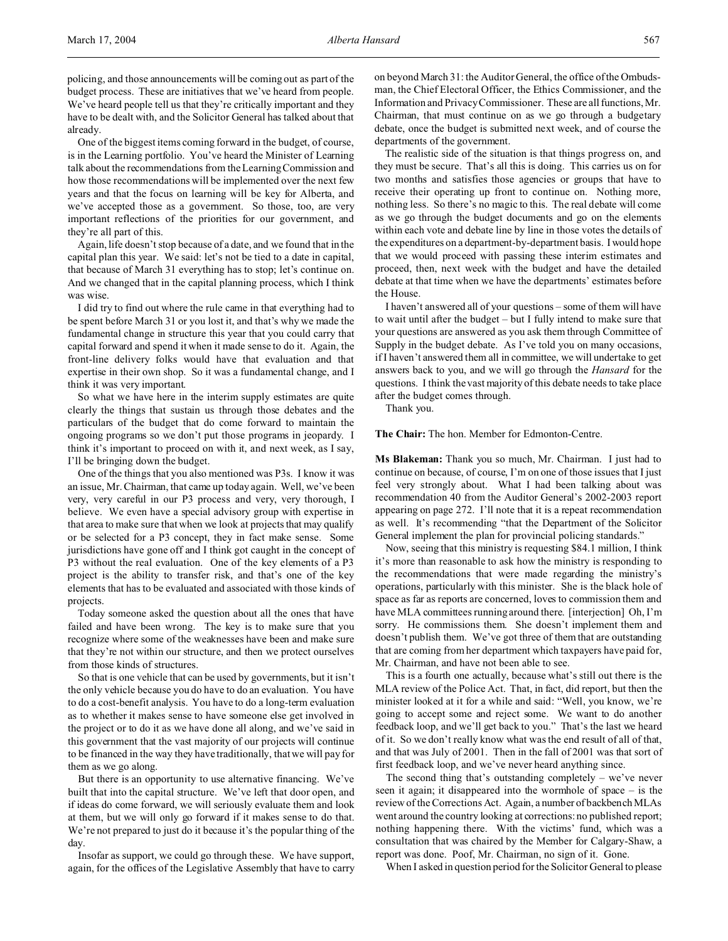policing, and those announcements will be coming out as part of the budget process. These are initiatives that we've heard from people. We've heard people tell us that they're critically important and they have to be dealt with, and the Solicitor General has talked about that already.

One of the biggest items coming forward in the budget, of course, is in the Learning portfolio. You've heard the Minister of Learning talk about the recommendations from the Learning Commission and how those recommendations will be implemented over the next few years and that the focus on learning will be key for Alberta, and we've accepted those as a government. So those, too, are very important reflections of the priorities for our government, and they're all part of this.

Again, life doesn't stop because of a date, and we found that in the capital plan this year. We said: let's not be tied to a date in capital, that because of March 31 everything has to stop; let's continue on. And we changed that in the capital planning process, which I think was wise.

I did try to find out where the rule came in that everything had to be spent before March 31 or you lost it, and that's why we made the fundamental change in structure this year that you could carry that capital forward and spend it when it made sense to do it. Again, the front-line delivery folks would have that evaluation and that expertise in their own shop. So it was a fundamental change, and I think it was very important.

So what we have here in the interim supply estimates are quite clearly the things that sustain us through those debates and the particulars of the budget that do come forward to maintain the ongoing programs so we don't put those programs in jeopardy. I think it's important to proceed on with it, and next week, as I say, I'll be bringing down the budget.

One of the things that you also mentioned was P3s. I know it was an issue, Mr. Chairman, that came up today again. Well, we've been very, very careful in our P3 process and very, very thorough, I believe. We even have a special advisory group with expertise in that area to make sure that when we look at projects that may qualify or be selected for a P3 concept, they in fact make sense. Some jurisdictions have gone off and I think got caught in the concept of P3 without the real evaluation. One of the key elements of a P3 project is the ability to transfer risk, and that's one of the key elements that has to be evaluated and associated with those kinds of projects.

Today someone asked the question about all the ones that have failed and have been wrong. The key is to make sure that you recognize where some of the weaknesses have been and make sure that they're not within our structure, and then we protect ourselves from those kinds of structures.

So that is one vehicle that can be used by governments, but it isn't the only vehicle because you do have to do an evaluation. You have to do a cost-benefit analysis. You have to do a long-term evaluation as to whether it makes sense to have someone else get involved in the project or to do it as we have done all along, and we've said in this government that the vast majority of our projects will continue to be financed in the way they have traditionally, that we will pay for them as we go along.

But there is an opportunity to use alternative financing. We've built that into the capital structure. We've left that door open, and if ideas do come forward, we will seriously evaluate them and look at them, but we will only go forward if it makes sense to do that. We're not prepared to just do it because it's the popular thing of the day.

Insofar as support, we could go through these. We have support, again, for the offices of the Legislative Assembly that have to carry on beyond March 31: the Auditor General, the office of the Ombudsman, the Chief Electoral Officer, the Ethics Commissioner, and the Information and Privacy Commissioner. These are all functions, Mr. Chairman, that must continue on as we go through a budgetary debate, once the budget is submitted next week, and of course the departments of the government.

The realistic side of the situation is that things progress on, and they must be secure. That's all this is doing. This carries us on for two months and satisfies those agencies or groups that have to receive their operating up front to continue on. Nothing more, nothing less. So there's no magic to this. The real debate will come as we go through the budget documents and go on the elements within each vote and debate line by line in those votes the details of the expenditures on a department-by-department basis. I would hope that we would proceed with passing these interim estimates and proceed, then, next week with the budget and have the detailed debate at that time when we have the departments' estimates before the House.

I haven't answered all of your questions – some of them will have to wait until after the budget – but I fully intend to make sure that your questions are answered as you ask them through Committee of Supply in the budget debate. As I've told you on many occasions, if I haven't answered them all in committee, we will undertake to get answers back to you, and we will go through the *Hansard* for the questions. I think the vast majority of this debate needs to take place after the budget comes through.

Thank you.

**The Chair:** The hon. Member for Edmonton-Centre.

**Ms Blakeman:** Thank you so much, Mr. Chairman. I just had to continue on because, of course, I'm on one of those issues that I just feel very strongly about. What I had been talking about was recommendation 40 from the Auditor General's 2002-2003 report appearing on page 272. I'll note that it is a repeat recommendation as well. It's recommending "that the Department of the Solicitor General implement the plan for provincial policing standards."

Now, seeing that this ministry is requesting \$84.1 million, I think it's more than reasonable to ask how the ministry is responding to the recommendations that were made regarding the ministry's operations, particularly with this minister. She is the black hole of space as far as reports are concerned, loves to commission them and have MLA committees running around there. [interjection] Oh, I'm sorry. He commissions them. She doesn't implement them and doesn't publish them. We've got three of them that are outstanding that are coming from her department which taxpayers have paid for, Mr. Chairman, and have not been able to see.

This is a fourth one actually, because what's still out there is the MLA review of the Police Act. That, in fact, did report, but then the minister looked at it for a while and said: "Well, you know, we're going to accept some and reject some. We want to do another feedback loop, and we'll get back to you." That's the last we heard of it. So we don't really know what was the end result of all of that, and that was July of 2001. Then in the fall of 2001 was that sort of first feedback loop, and we've never heard anything since.

The second thing that's outstanding completely  $-$  we've never seen it again; it disappeared into the wormhole of space – is the review of the Corrections Act. Again, a number of backbench MLAs went around the country looking at corrections: no published report; nothing happening there. With the victims' fund, which was a consultation that was chaired by the Member for Calgary-Shaw, a report was done. Poof, Mr. Chairman, no sign of it. Gone.

When I asked in question period for the Solicitor General to please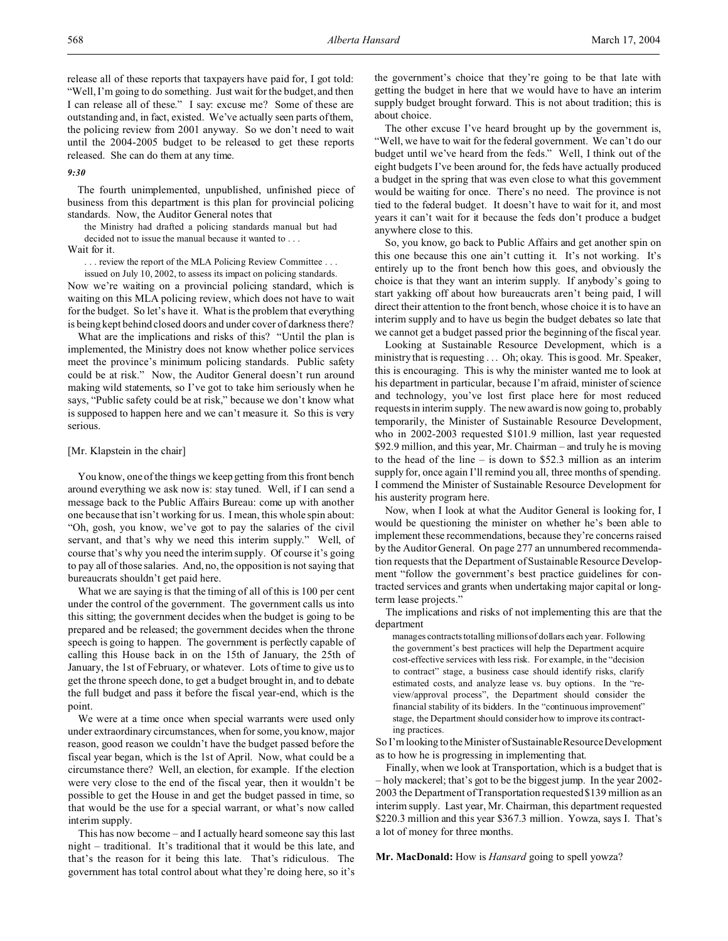outstanding and, in fact, existed. We've actually seen parts of them, the policing review from 2001 anyway. So we don't need to wait until the 2004-2005 budget to be released to get these reports released. She can do them at any time.

## *9:30*

The fourth unimplemented, unpublished, unfinished piece of business from this department is this plan for provincial policing standards. Now, the Auditor General notes that

the Ministry had drafted a policing standards manual but had decided not to issue the manual because it wanted to . . .

Wait for it.

. . . review the report of the MLA Policing Review Committee . . .

issued on July 10, 2002, to assess its impact on policing standards. Now we're waiting on a provincial policing standard, which is waiting on this MLA policing review, which does not have to wait for the budget. So let's have it. What is the problem that everything is being kept behind closed doors and under cover of darkness there?

What are the implications and risks of this? "Until the plan is implemented, the Ministry does not know whether police services meet the province's minimum policing standards. Public safety could be at risk." Now, the Auditor General doesn't run around making wild statements, so I've got to take him seriously when he says, "Public safety could be at risk," because we don't know what is supposed to happen here and we can't measure it. So this is very serious.

## [Mr. Klapstein in the chair]

You know, one of the things we keep getting from this front bench around everything we ask now is: stay tuned. Well, if I can send a message back to the Public Affairs Bureau: come up with another one because that isn't working for us. I mean, this whole spin about: "Oh, gosh, you know, we've got to pay the salaries of the civil servant, and that's why we need this interim supply." Well, of course that's why you need the interim supply. Of course it's going to pay all of those salaries. And, no, the opposition is not saying that bureaucrats shouldn't get paid here.

What we are saying is that the timing of all of this is 100 per cent under the control of the government. The government calls us into this sitting; the government decides when the budget is going to be prepared and be released; the government decides when the throne speech is going to happen. The government is perfectly capable of calling this House back in on the 15th of January, the 25th of January, the 1st of February, or whatever. Lots of time to give us to get the throne speech done, to get a budget brought in, and to debate the full budget and pass it before the fiscal year-end, which is the point.

We were at a time once when special warrants were used only under extraordinary circumstances, when for some, you know, major reason, good reason we couldn't have the budget passed before the fiscal year began, which is the 1st of April. Now, what could be a circumstance there? Well, an election, for example. If the election were very close to the end of the fiscal year, then it wouldn't be possible to get the House in and get the budget passed in time, so that would be the use for a special warrant, or what's now called interim supply.

This has now become – and I actually heard someone say this last night – traditional. It's traditional that it would be this late, and that's the reason for it being this late. That's ridiculous. The government has total control about what they're doing here, so it's

the government's choice that they're going to be that late with getting the budget in here that we would have to have an interim supply budget brought forward. This is not about tradition; this is about choice.

The other excuse I've heard brought up by the government is, "Well, we have to wait for the federal government. We can't do our budget until we've heard from the feds." Well, I think out of the eight budgets I've been around for, the feds have actually produced a budget in the spring that was even close to what this government would be waiting for once. There's no need. The province is not tied to the federal budget. It doesn't have to wait for it, and most years it can't wait for it because the feds don't produce a budget anywhere close to this.

So, you know, go back to Public Affairs and get another spin on this one because this one ain't cutting it. It's not working. It's entirely up to the front bench how this goes, and obviously the choice is that they want an interim supply. If anybody's going to start yakking off about how bureaucrats aren't being paid, I will direct their attention to the front bench, whose choice it is to have an interim supply and to have us begin the budget debates so late that we cannot get a budget passed prior the beginning of the fiscal year.

Looking at Sustainable Resource Development, which is a ministry that is requesting . . . Oh; okay. This is good. Mr. Speaker, this is encouraging. This is why the minister wanted me to look at his department in particular, because I'm afraid, minister of science and technology, you've lost first place here for most reduced requests in interim supply. The new award is now going to, probably temporarily, the Minister of Sustainable Resource Development, who in 2002-2003 requested \$101.9 million, last year requested \$92.9 million, and this year, Mr. Chairman – and truly he is moving to the head of the line – is down to \$52.3 million as an interim supply for, once again I'll remind you all, three months of spending. I commend the Minister of Sustainable Resource Development for his austerity program here.

Now, when I look at what the Auditor General is looking for, I would be questioning the minister on whether he's been able to implement these recommendations, because they're concerns raised by the Auditor General. On page 277 an unnumbered recommendation requests that the Department of Sustainable Resource Development "follow the government's best practice guidelines for contracted services and grants when undertaking major capital or longterm lease projects."

The implications and risks of not implementing this are that the department

manages contracts totalling millions of dollars each year. Following the government's best practices will help the Department acquire cost-effective services with less risk. For example, in the "decision to contract" stage, a business case should identify risks, clarify estimated costs, and analyze lease vs. buy options. In the "review/approval process", the Department should consider the financial stability of its bidders. In the "continuous improvement" stage, the Department should consider how to improve its contracting practices.

So I'm looking to theMinister of Sustainable Resource Development as to how he is progressing in implementing that.

Finally, when we look at Transportation, which is a budget that is – holy mackerel; that's got to be the biggest jump. In the year 2002- 2003 the Department of Transportation requested \$139 million as an interim supply. Last year, Mr. Chairman, this department requested \$220.3 million and this year \$367.3 million. Yowza, says I. That's a lot of money for three months.

**Mr. MacDonald:** How is *Hansard* going to spell yowza?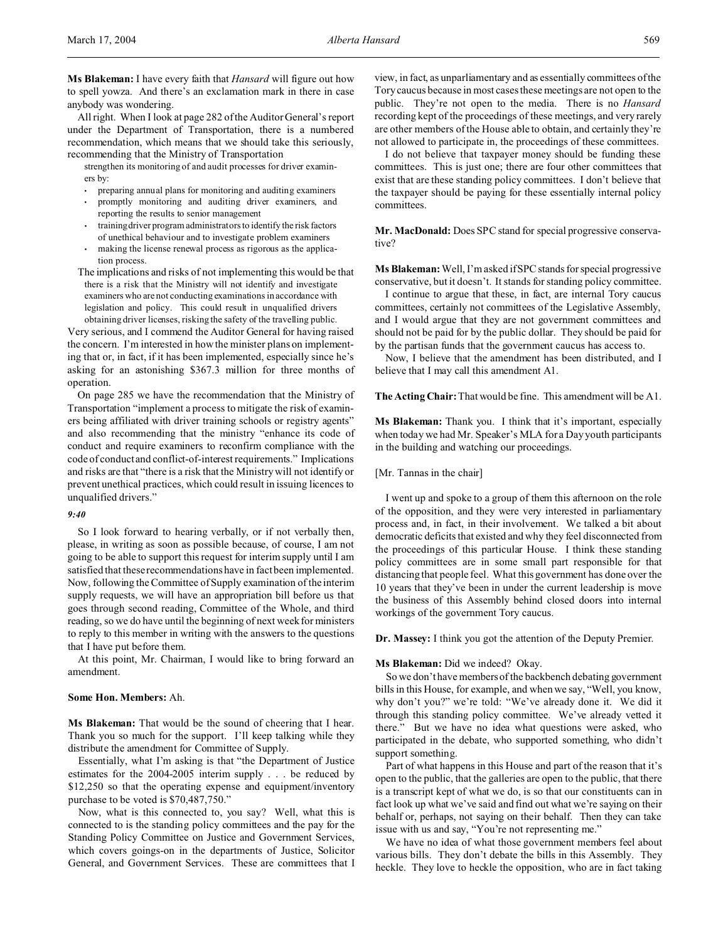**Ms Blakeman:** I have every faith that *Hansard* will figure out how to spell yowza. And there's an exclamation mark in there in case anybody was wondering.

All right. When I look at page 282 of the Auditor General's report under the Department of Transportation, there is a numbered recommendation, which means that we should take this seriously, recommending that the Ministry of Transportation

strengthen its monitoring of and audit processes for driver examiners by:

- preparing annual plans for monitoring and auditing examiners
- promptly monitoring and auditing driver examiners, and reporting the results to senior management
- trainingdriver program administrators to identify the risk factors of unethical behaviour and to investigate problem examiners
- making the license renewal process as rigorous as the application process.
- The implications and risks of not implementing this would be that there is a risk that the Ministry will not identify and investigate examiners who are not conducting examinations in accordance with legislation and policy. This could result in unqualified drivers obtaining driver licenses, risking the safety of the travelling public.

Very serious, and I commend the Auditor General for having raised the concern. I'm interested in how the minister plans on implementing that or, in fact, if it has been implemented, especially since he's asking for an astonishing \$367.3 million for three months of operation.

On page 285 we have the recommendation that the Ministry of Transportation "implement a process to mitigate the risk of examiners being affiliated with driver training schools or registry agents" and also recommending that the ministry "enhance its code of conduct and require examiners to reconfirm compliance with the code of conduct and conflict-of-interest requirements." Implications and risks are that "there is a risk that the Ministry will not identify or prevent unethical practices, which could result in issuing licences to unqualified drivers."

## *9:40*

So I look forward to hearing verbally, or if not verbally then, please, in writing as soon as possible because, of course, I am not going to be able to support this request for interim supply until I am satisfied that these recommendations have in fact been implemented. Now, following the Committee of Supply examination of the interim supply requests, we will have an appropriation bill before us that goes through second reading, Committee of the Whole, and third reading, so we do have until the beginning of next week for ministers to reply to this member in writing with the answers to the questions that I have put before them.

At this point, Mr. Chairman, I would like to bring forward an amendment.

# **Some Hon. Members:** Ah.

**Ms Blakeman:** That would be the sound of cheering that I hear. Thank you so much for the support. I'll keep talking while they distribute the amendment for Committee of Supply.

Essentially, what I'm asking is that "the Department of Justice estimates for the 2004-2005 interim supply . . . be reduced by \$12,250 so that the operating expense and equipment/inventory purchase to be voted is \$70,487,750."

Now, what is this connected to, you say? Well, what this is connected to is the standing policy committees and the pay for the Standing Policy Committee on Justice and Government Services, which covers goings-on in the departments of Justice, Solicitor General, and Government Services. These are committees that I view, in fact, as unparliamentary and as essentially committees of the Tory caucus because in most cases these meetings are not open to the public. They're not open to the media. There is no *Hansard* recording kept of the proceedings of these meetings, and very rarely are other members of the House able to obtain, and certainly they're not allowed to participate in, the proceedings of these committees.

I do not believe that taxpayer money should be funding these committees. This is just one; there are four other committees that exist that are these standing policy committees. I don't believe that the taxpayer should be paying for these essentially internal policy committees.

**Mr. MacDonald:** Does SPC stand for special progressive conservative?

**Ms Blakeman:**Well, I'm asked if SPC stands for special progressive conservative, but it doesn't. It stands for standing policy committee.

I continue to argue that these, in fact, are internal Tory caucus committees, certainly not committees of the Legislative Assembly, and I would argue that they are not government committees and should not be paid for by the public dollar. They should be paid for by the partisan funds that the government caucus has access to.

Now, I believe that the amendment has been distributed, and I believe that I may call this amendment A1.

**The Acting Chair:** That would be fine. This amendment will be A1.

**Ms Blakeman:** Thank you. I think that it's important, especially when today we had Mr. Speaker's MLA for a Day youth participants in the building and watching our proceedings.

## [Mr. Tannas in the chair]

I went up and spoke to a group of them this afternoon on the role of the opposition, and they were very interested in parliamentary process and, in fact, in their involvement. We talked a bit about democratic deficits that existed and why they feel disconnected from the proceedings of this particular House. I think these standing policy committees are in some small part responsible for that distancing that people feel. What this government has done over the 10 years that they've been in under the current leadership is move the business of this Assembly behind closed doors into internal workings of the government Tory caucus.

**Dr. Massey:** I think you got the attention of the Deputy Premier.

### **Ms Blakeman:** Did we indeed? Okay.

So we don't have members of the backbench debating government bills in this House, for example, and when we say, "Well, you know, why don't you?" we're told: "We've already done it. We did it through this standing policy committee. We've already vetted it there." But we have no idea what questions were asked, who participated in the debate, who supported something, who didn't support something.

Part of what happens in this House and part of the reason that it's open to the public, that the galleries are open to the public, that there is a transcript kept of what we do, is so that our constituents can in fact look up what we've said and find out what we're saying on their behalf or, perhaps, not saying on their behalf. Then they can take issue with us and say, "You're not representing me."

We have no idea of what those government members feel about various bills. They don't debate the bills in this Assembly. They heckle. They love to heckle the opposition, who are in fact taking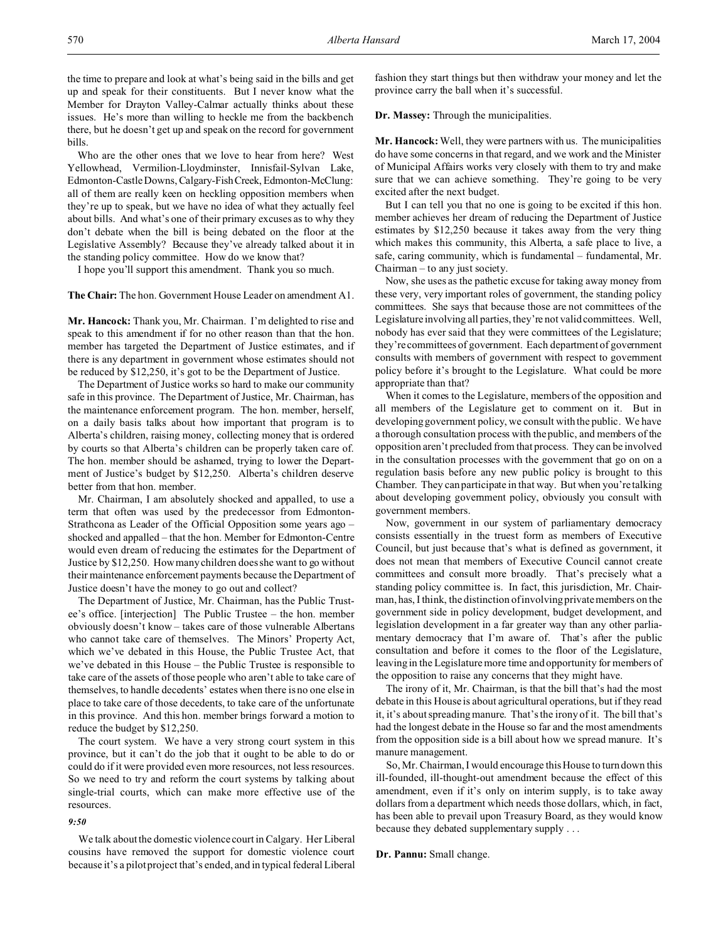the time to prepare and look at what's being said in the bills and get up and speak for their constituents. But I never know what the Member for Drayton Valley-Calmar actually thinks about these issues. He's more than willing to heckle me from the backbench there, but he doesn't get up and speak on the record for government bills.

Who are the other ones that we love to hear from here? West Yellowhead, Vermilion-Lloydminster, Innisfail-Sylvan Lake, Edmonton-Castle Downs, Calgary-FishCreek, Edmonton-McClung: all of them are really keen on heckling opposition members when they're up to speak, but we have no idea of what they actually feel about bills. And what's one of their primary excuses as to why they don't debate when the bill is being debated on the floor at the Legislative Assembly? Because they've already talked about it in the standing policy committee. How do we know that?

I hope you'll support this amendment. Thank you so much.

**The Chair:** The hon. Government House Leader on amendment A1.

**Mr. Hancock:** Thank you, Mr. Chairman. I'm delighted to rise and speak to this amendment if for no other reason than that the hon. member has targeted the Department of Justice estimates, and if there is any department in government whose estimates should not be reduced by \$12,250, it's got to be the Department of Justice.

The Department of Justice works so hard to make our community safe in this province. The Department of Justice, Mr. Chairman, has the maintenance enforcement program. The hon. member, herself, on a daily basis talks about how important that program is to Alberta's children, raising money, collecting money that is ordered by courts so that Alberta's children can be properly taken care of. The hon. member should be ashamed, trying to lower the Department of Justice's budget by \$12,250. Alberta's children deserve better from that hon. member.

Mr. Chairman, I am absolutely shocked and appalled, to use a term that often was used by the predecessor from Edmonton-Strathcona as Leader of the Official Opposition some years ago – shocked and appalled – that the hon. Member for Edmonton-Centre would even dream of reducing the estimates for the Department of Justice by \$12,250. How many children does she want to go without their maintenance enforcement payments because the Department of Justice doesn't have the money to go out and collect?

The Department of Justice, Mr. Chairman, has the Public Trustee's office. [interjection] The Public Trustee – the hon. member obviously doesn't know – takes care of those vulnerable Albertans who cannot take care of themselves. The Minors' Property Act, which we've debated in this House, the Public Trustee Act, that we've debated in this House – the Public Trustee is responsible to take care of the assets of those people who aren't able to take care of themselves, to handle decedents' estates when there is no one else in place to take care of those decedents, to take care of the unfortunate in this province. And this hon. member brings forward a motion to reduce the budget by \$12,250.

The court system. We have a very strong court system in this province, but it can't do the job that it ought to be able to do or could do if it were provided even more resources, not less resources. So we need to try and reform the court systems by talking about single-trial courts, which can make more effective use of the resources.

## *9:50*

We talk about the domestic violence court in Calgary. Her Liberal cousins have removed the support for domestic violence court because it's a pilot project that's ended, and in typical federal Liberal

fashion they start things but then withdraw your money and let the province carry the ball when it's successful.

**Dr. Massey:** Through the municipalities.

**Mr. Hancock:** Well, they were partners with us. The municipalities do have some concerns in that regard, and we work and the Minister of Municipal Affairs works very closely with them to try and make sure that we can achieve something. They're going to be very excited after the next budget.

But I can tell you that no one is going to be excited if this hon. member achieves her dream of reducing the Department of Justice estimates by \$12,250 because it takes away from the very thing which makes this community, this Alberta, a safe place to live, a safe, caring community, which is fundamental – fundamental, Mr. Chairman – to any just society.

Now, she uses as the pathetic excuse for taking away money from these very, very important roles of government, the standing policy committees. She says that because those are not committees of the Legislature involving all parties, they're not valid committees. Well, nobody has ever said that they were committees of the Legislature; they're committees of government. Each department of government consults with members of government with respect to government policy before it's brought to the Legislature. What could be more appropriate than that?

When it comes to the Legislature, members of the opposition and all members of the Legislature get to comment on it. But in developing government policy, we consult with the public. We have a thorough consultation process with the public, and members of the opposition aren't precluded from that process. They can be involved in the consultation processes with the government that go on on a regulation basis before any new public policy is brought to this Chamber. They can participate in that way. But when you're talking about developing government policy, obviously you consult with government members.

Now, government in our system of parliamentary democracy consists essentially in the truest form as members of Executive Council, but just because that's what is defined as government, it does not mean that members of Executive Council cannot create committees and consult more broadly. That's precisely what a standing policy committee is. In fact, this jurisdiction, Mr. Chairman, has, I think, the distinction of involving private members on the government side in policy development, budget development, and legislation development in a far greater way than any other parliamentary democracy that I'm aware of. That's after the public consultation and before it comes to the floor of the Legislature, leaving in the Legislature more time and opportunity for members of the opposition to raise any concerns that they might have.

The irony of it, Mr. Chairman, is that the bill that's had the most debate in this House is about agricultural operations, but if they read it, it's about spreading manure. That's the irony of it. The bill that's had the longest debate in the House so far and the most amendments from the opposition side is a bill about how we spread manure. It's manure management.

So, Mr. Chairman, I would encourage this House to turn down this ill-founded, ill-thought-out amendment because the effect of this amendment, even if it's only on interim supply, is to take away dollars from a department which needs those dollars, which, in fact, has been able to prevail upon Treasury Board, as they would know because they debated supplementary supply . . .

**Dr. Pannu:** Small change.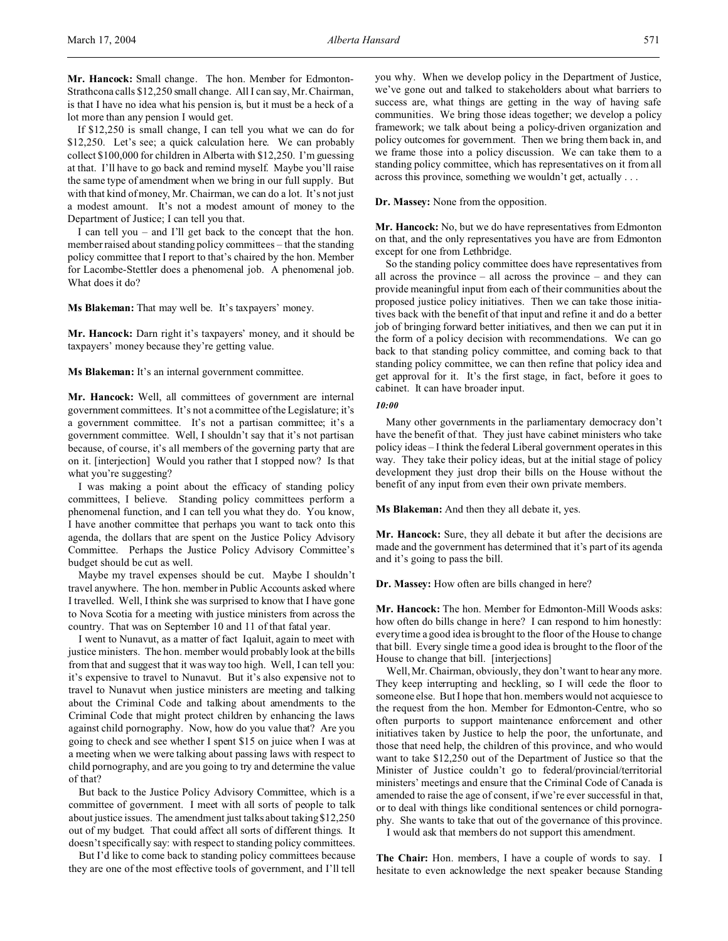**Mr. Hancock:** Small change. The hon. Member for Edmonton-Strathcona calls \$12,250 small change. All I can say, Mr. Chairman, is that I have no idea what his pension is, but it must be a heck of a lot more than any pension I would get.

If \$12,250 is small change, I can tell you what we can do for \$12,250. Let's see; a quick calculation here. We can probably collect \$100,000 for children in Alberta with \$12,250. I'm guessing at that. I'll have to go back and remind myself. Maybe you'll raise the same type of amendment when we bring in our full supply. But with that kind of money, Mr. Chairman, we can do a lot. It's not just a modest amount. It's not a modest amount of money to the Department of Justice; I can tell you that.

I can tell you – and I'll get back to the concept that the hon. member raised about standing policy committees – that the standing policy committee that I report to that's chaired by the hon. Member for Lacombe-Stettler does a phenomenal job. A phenomenal job. What does it do?

**Ms Blakeman:** That may well be. It's taxpayers' money.

**Mr. Hancock:** Darn right it's taxpayers' money, and it should be taxpayers' money because they're getting value.

**Ms Blakeman:** It's an internal government committee.

**Mr. Hancock:** Well, all committees of government are internal government committees. It's not a committee of the Legislature; it's a government committee. It's not a partisan committee; it's a government committee. Well, I shouldn't say that it's not partisan because, of course, it's all members of the governing party that are on it. [interjection] Would you rather that I stopped now? Is that what you're suggesting?

I was making a point about the efficacy of standing policy committees, I believe. Standing policy committees perform a phenomenal function, and I can tell you what they do. You know, I have another committee that perhaps you want to tack onto this agenda, the dollars that are spent on the Justice Policy Advisory Committee. Perhaps the Justice Policy Advisory Committee's budget should be cut as well.

Maybe my travel expenses should be cut. Maybe I shouldn't travel anywhere. The hon. member in Public Accounts asked where I travelled. Well, I think she was surprised to know that I have gone to Nova Scotia for a meeting with justice ministers from across the country. That was on September 10 and 11 of that fatal year.

I went to Nunavut, as a matter of fact Iqaluit, again to meet with justice ministers. The hon. member would probably look at the bills from that and suggest that it was way too high. Well, I can tell you: it's expensive to travel to Nunavut. But it's also expensive not to travel to Nunavut when justice ministers are meeting and talking about the Criminal Code and talking about amendments to the Criminal Code that might protect children by enhancing the laws against child pornography. Now, how do you value that? Are you going to check and see whether I spent \$15 on juice when I was at a meeting when we were talking about passing laws with respect to child pornography, and are you going to try and determine the value of that?

But back to the Justice Policy Advisory Committee, which is a committee of government. I meet with all sorts of people to talk about justice issues. The amendment just talks about taking \$12,250 out of my budget. That could affect all sorts of different things. It doesn't specifically say: with respect to standing policy committees.

But I'd like to come back to standing policy committees because they are one of the most effective tools of government, and I'll tell you why. When we develop policy in the Department of Justice, we've gone out and talked to stakeholders about what barriers to success are, what things are getting in the way of having safe communities. We bring those ideas together; we develop a policy framework; we talk about being a policy-driven organization and policy outcomes for government. Then we bring them back in, and we frame those into a policy discussion. We can take them to a standing policy committee, which has representatives on it from all across this province, something we wouldn't get, actually . . .

**Dr. Massey:** None from the opposition.

**Mr. Hancock:** No, but we do have representatives from Edmonton on that, and the only representatives you have are from Edmonton except for one from Lethbridge.

So the standing policy committee does have representatives from all across the province – all across the province – and they can provide meaningful input from each of their communities about the proposed justice policy initiatives. Then we can take those initiatives back with the benefit of that input and refine it and do a better job of bringing forward better initiatives, and then we can put it in the form of a policy decision with recommendations. We can go back to that standing policy committee, and coming back to that standing policy committee, we can then refine that policy idea and get approval for it. It's the first stage, in fact, before it goes to cabinet. It can have broader input.

#### *10:00*

Many other governments in the parliamentary democracy don't have the benefit of that. They just have cabinet ministers who take policy ideas – I think the federal Liberal government operates in this way. They take their policy ideas, but at the initial stage of policy development they just drop their bills on the House without the benefit of any input from even their own private members.

**Ms Blakeman:** And then they all debate it, yes.

**Mr. Hancock:** Sure, they all debate it but after the decisions are made and the government has determined that it's part of its agenda and it's going to pass the bill.

**Dr. Massey:** How often are bills changed in here?

**Mr. Hancock:** The hon. Member for Edmonton-Mill Woods asks: how often do bills change in here? I can respond to him honestly: every time a good idea is brought to the floor of the House to change that bill. Every single time a good idea is brought to the floor of the House to change that bill. [interjections]

Well, Mr. Chairman, obviously, they don't want to hear any more. They keep interrupting and heckling, so I will cede the floor to someone else. But I hope that hon. members would not acquiesce to the request from the hon. Member for Edmonton-Centre, who so often purports to support maintenance enforcement and other initiatives taken by Justice to help the poor, the unfortunate, and those that need help, the children of this province, and who would want to take \$12,250 out of the Department of Justice so that the Minister of Justice couldn't go to federal/provincial/territorial ministers' meetings and ensure that the Criminal Code of Canada is amended to raise the age of consent, if we're ever successful in that, or to deal with things like conditional sentences or child pornography. She wants to take that out of the governance of this province.

I would ask that members do not support this amendment.

**The Chair:** Hon. members, I have a couple of words to say. I hesitate to even acknowledge the next speaker because Standing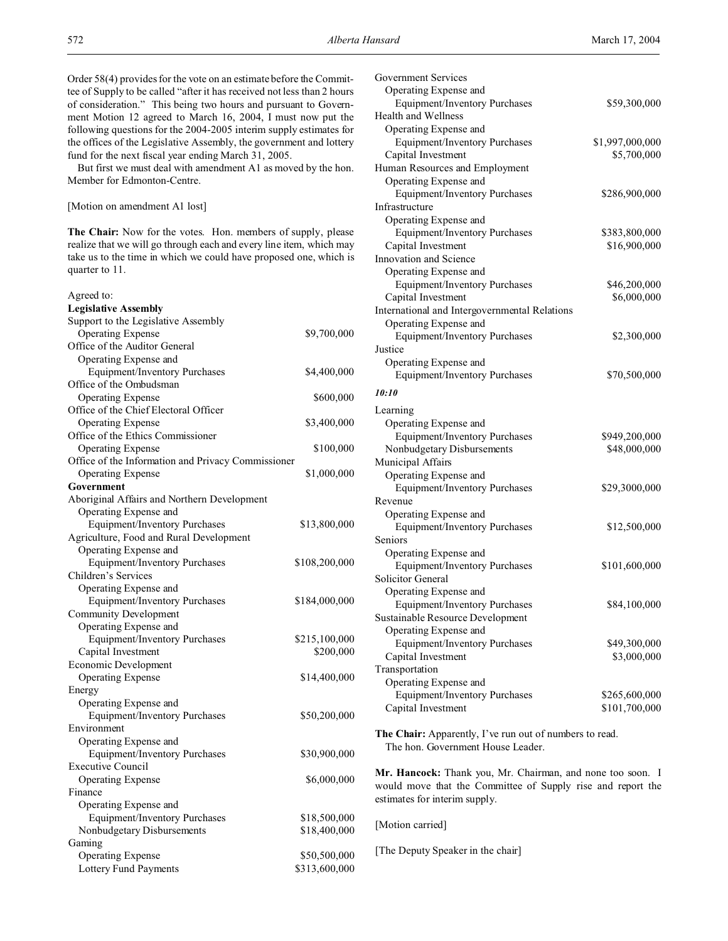But first we must deal with amendment A1 as moved by the hon. Member for Edmonton-Centre.

### [Motion on amendment A1 lost]

**The Chair:** Now for the votes. Hon. members of supply, please realize that we will go through each and every line item, which may take us to the time in which we could have proposed one, which is quarter to 11.

| Agreed to:                                         |               |
|----------------------------------------------------|---------------|
| <b>Legislative Assembly</b>                        |               |
| Support to the Legislative Assembly                |               |
| <b>Operating Expense</b>                           | \$9,700,000   |
| Office of the Auditor General                      |               |
| Operating Expense and                              |               |
| Equipment/Inventory Purchases                      | \$4,400,000   |
| Office of the Ombudsman                            |               |
| <b>Operating Expense</b>                           | \$600,000     |
| Office of the Chief Electoral Officer              |               |
| <b>Operating Expense</b>                           | \$3,400,000   |
| Office of the Ethics Commissioner                  |               |
| <b>Operating Expense</b>                           | \$100,000     |
| Office of the Information and Privacy Commissioner |               |
| <b>Operating Expense</b>                           | \$1,000,000   |
| Government                                         |               |
| Aboriginal Affairs and Northern Development        |               |
| Operating Expense and                              |               |
| <b>Equipment/Inventory Purchases</b>               | \$13,800,000  |
| Agriculture, Food and Rural Development            |               |
| Operating Expense and                              |               |
| <b>Equipment/Inventory Purchases</b>               | \$108,200,000 |
| Children's Services                                |               |
| Operating Expense and                              |               |
|                                                    |               |
| <b>Equipment/Inventory Purchases</b>               | \$184,000,000 |
| <b>Community Development</b>                       |               |
| Operating Expense and                              |               |
| <b>Equipment/Inventory Purchases</b>               | \$215,100,000 |
| Capital Investment                                 | \$200,000     |
| Economic Development                               |               |
| <b>Operating Expense</b>                           | \$14,400,000  |
| Energy                                             |               |
| Operating Expense and                              |               |
| <b>Equipment/Inventory Purchases</b>               | \$50,200,000  |
| Environment                                        |               |
| Operating Expense and                              |               |
| Equipment/Inventory Purchases                      | \$30,900,000  |
| <b>Executive Council</b>                           |               |
| <b>Operating Expense</b>                           | \$6,000,000   |
| Finance                                            |               |
| Operating Expense and                              |               |
| Equipment/Inventory Purchases                      | \$18,500,000  |
| Nonbudgetary Disbursements                         | \$18,400,000  |
| Gaming                                             |               |
| <b>Operating Expense</b>                           | \$50,500,000  |
| Lottery Fund Payments                              | \$313,600,000 |

| Government Services<br>Operating Expense and              |                             |
|-----------------------------------------------------------|-----------------------------|
| Equipment/Inventory Purchases                             | \$59,300,000                |
| <b>Health and Wellness</b>                                |                             |
| Operating Expense and                                     |                             |
| Equipment/Inventory Purchases                             | \$1,997,000,000             |
| Capital Investment                                        | \$5,700,000                 |
| Human Resources and Employment                            |                             |
| Operating Expense and                                     |                             |
| Equipment/Inventory Purchases                             | \$286,900,000               |
| Infrastructure                                            |                             |
| Operating Expense and                                     |                             |
| Equipment/Inventory Purchases                             | \$383,800,000               |
| Capital Investment                                        | \$16,900,000                |
| Innovation and Science                                    |                             |
| Operating Expense and                                     |                             |
| Equipment/Inventory Purchases                             | \$46,200,000                |
| Capital Investment                                        | \$6,000,000                 |
| International and Intergovernmental Relations             |                             |
| Operating Expense and                                     |                             |
| Equipment/Inventory Purchases                             | \$2,300,000                 |
| Justice                                                   |                             |
| Operating Expense and                                     |                             |
| Equipment/Inventory Purchases                             | \$70,500,000                |
| 10:10                                                     |                             |
| Learning                                                  |                             |
| Operating Expense and                                     |                             |
| Equipment/Inventory Purchases                             | \$949,200,000               |
| Nonbudgetary Disbursements                                | \$48,000,000                |
| Municipal Affairs                                         |                             |
| Operating Expense and                                     |                             |
| Equipment/Inventory Purchases                             | \$29,3000,000               |
| Revenue                                                   |                             |
| Operating Expense and                                     |                             |
| Equipment/Inventory Purchases                             | \$12,500,000                |
| Seniors                                                   |                             |
| Operating Expense and                                     |                             |
| Equipment/Inventory Purchases                             | \$101,600,000               |
| Solicitor General                                         |                             |
| Operating Expense and                                     |                             |
| Equipment/Inventory Purchases                             | \$84,100,000                |
| Sustainable Resource Development<br>Operating Expense and |                             |
| <b>Equipment/Inventory Purchases</b>                      |                             |
| Capital Investment                                        | \$49,300,000<br>\$3,000,000 |
| Transportation                                            |                             |
| Operating Expense and                                     |                             |
| Equipment/Inventory Purchases                             | \$265,600,000               |
| Capital Investment                                        | \$101,700,000               |
|                                                           |                             |
| The Chair: Apparently, I've run out of numbers to read.   |                             |

The hon. Government House Leader.

**Mr. Hancock:** Thank you, Mr. Chairman, and none too soon. I would move that the Committee of Supply rise and report the estimates for interim supply.

[Motion carried]

[The Deputy Speaker in the chair]